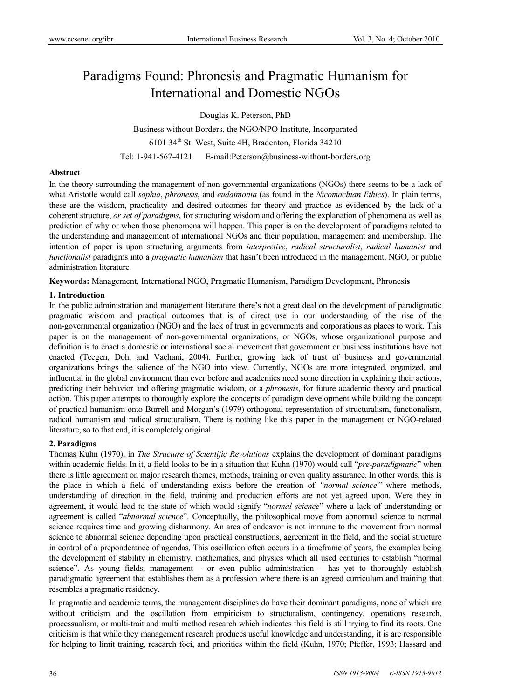# Paradigms Found: Phronesis and Pragmatic Humanism for International and Domestic NGOs

Douglas K. Peterson, PhD

Business without Borders, the NGO/NPO Institute, Incorporated 6101 34th St. West, Suite 4H, Bradenton, Florida 34210 Tel: 1-941-567-4121 E-mail:Peterson@business-without-borders.org

# **Abstract**

In the theory surrounding the management of non-governmental organizations (NGOs) there seems to be a lack of what Aristotle would call *sophia*, *phronesis*, and *eudaimonia* (as found in the *Nicomachian Ethics*). In plain terms, these are the wisdom, practicality and desired outcomes for theory and practice as evidenced by the lack of a coherent structure, *or set of paradigms*, for structuring wisdom and offering the explanation of phenomena as well as prediction of why or when those phenomena will happen. This paper is on the development of paradigms related to the understanding and management of international NGOs and their population, management and membership. The intention of paper is upon structuring arguments from *interpretive*, *radical structuralist*, *radical humanist* and *functionalist* paradigms into a *pragmatic humanism* that hasn't been introduced in the management, NGO, or public administration literature.

**Keywords:** Management, International NGO, Pragmatic Humanism, Paradigm Development, Phrones**is** 

# **1. Introduction**

In the public administration and management literature there's not a great deal on the development of paradigmatic pragmatic wisdom and practical outcomes that is of direct use in our understanding of the rise of the non-governmental organization (NGO) and the lack of trust in governments and corporations as places to work. This paper is on the management of non-governmental organizations, or NGOs, whose organizational purpose and definition is to enact a domestic or international social movement that government or business institutions have not enacted (Teegen, Doh, and Vachani, 2004). Further, growing lack of trust of business and governmental organizations brings the salience of the NGO into view. Currently, NGOs are more integrated, organized, and influential in the global environment than ever before and academics need some direction in explaining their actions, predicting their behavior and offering pragmatic wisdom, or a *phronesis*, for future academic theory and practical action. This paper attempts to thoroughly explore the concepts of paradigm development while building the concept of practical humanism onto Burrell and Morgan's (1979) orthogonal representation of structuralism, functionalism, radical humanism and radical structuralism. There is nothing like this paper in the management or NGO-related literature, so to that end, it is completely original.

## **2. Paradigms**

Thomas Kuhn (1970), in *The Structure of Scientific Revolutions* explains the development of dominant paradigms within academic fields. In it, a field looks to be in a situation that Kuhn (1970) would call "*pre-paradigmatic*" when there is little agreement on major research themes, methods, training or even quality assurance. In other words, this is the place in which a field of understanding exists before the creation of *"normal science"* where methods, understanding of direction in the field, training and production efforts are not yet agreed upon. Were they in agreement, it would lead to the state of which would signify "*normal science*" where a lack of understanding or agreement is called "*abnormal science*". Conceptually, the philosophical move from abnormal science to normal science requires time and growing disharmony. An area of endeavor is not immune to the movement from normal science to abnormal science depending upon practical constructions, agreement in the field, and the social structure in control of a preponderance of agendas. This oscillation often occurs in a timeframe of years, the examples being the development of stability in chemistry, mathematics, and physics which all used centuries to establish "normal science". As young fields, management – or even public administration – has yet to thoroughly establish paradigmatic agreement that establishes them as a profession where there is an agreed curriculum and training that resembles a pragmatic residency.

In pragmatic and academic terms, the management disciplines do have their dominant paradigms, none of which are without criticism and the oscillation from empiricism to structuralism, contingency, operations research, processualism, or multi-trait and multi method research which indicates this field is still trying to find its roots. One criticism is that while they management research produces useful knowledge and understanding, it is are responsible for helping to limit training, research foci, and priorities within the field (Kuhn, 1970; Pfeffer, 1993; Hassard and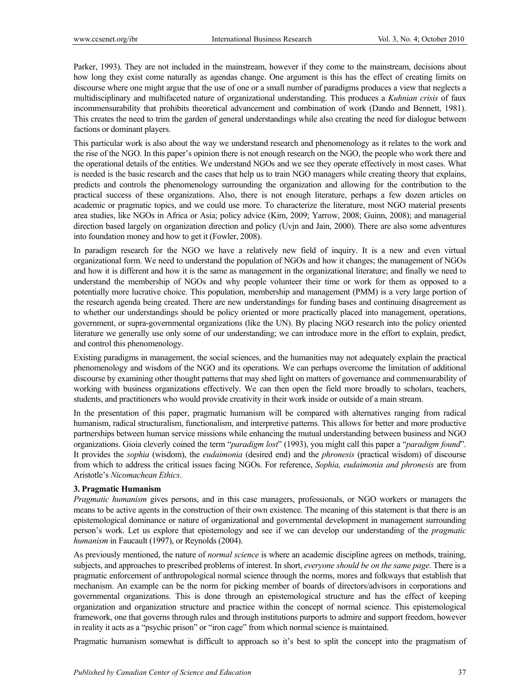Parker, 1993). They are not included in the mainstream, however if they come to the mainstream, decisions about how long they exist come naturally as agendas change. One argument is this has the effect of creating limits on discourse where one might argue that the use of one or a small number of paradigms produces a view that neglects a multidisciplinary and multifaceted nature of organizational understanding. This produces a *Kuhnian crisis* of faux incommensurability that prohibits theoretical advancement and combination of work (Dando and Bennett, 1981). This creates the need to trim the garden of general understandings while also creating the need for dialogue between factions or dominant players.

This particular work is also about the way we understand research and phenomenology as it relates to the work and the rise of the NGO. In this paper's opinion there is not enough research on the NGO, the people who work there and the operational details of the entities. We understand NGOs and we see they operate effectively in most cases. What is needed is the basic research and the cases that help us to train NGO managers while creating theory that explains, predicts and controls the phenomenology surrounding the organization and allowing for the contribution to the practical success of these organizations. Also, there is not enough literature, perhaps a few dozen articles on academic or pragmatic topics, and we could use more. To characterize the literature, most NGO material presents area studies, like NGOs in Africa or Asia; policy advice (Kim, 2009; Yarrow, 2008; Guinn, 2008); and managerial direction based largely on organization direction and policy (Uvjn and Jain, 2000). There are also some adventures into foundation money and how to get it (Fowler, 2008).

In paradigm research for the NGO we have a relatively new field of inquiry. It is a new and even virtual organizational form. We need to understand the population of NGOs and how it changes; the management of NGOs and how it is different and how it is the same as management in the organizational literature; and finally we need to understand the membership of NGOs and why people volunteer their time or work for them as opposed to a potentially more lucrative choice. This population, membership and management (PMM) is a very large portion of the research agenda being created. There are new understandings for funding bases and continuing disagreement as to whether our understandings should be policy oriented or more practically placed into management, operations, government, or supra-governmental organizations (like the UN). By placing NGO research into the policy oriented literature we generally use only some of our understanding; we can introduce more in the effort to explain, predict, and control this phenomenology.

Existing paradigms in management, the social sciences, and the humanities may not adequately explain the practical phenomenology and wisdom of the NGO and its operations. We can perhaps overcome the limitation of additional discourse by examining other thought patterns that may shed light on matters of governance and commensurability of working with business organizations effectively. We can then open the field more broadly to scholars, teachers, students, and practitioners who would provide creativity in their work inside or outside of a main stream.

In the presentation of this paper, pragmatic humanism will be compared with alternatives ranging from radical humanism, radical structuralism, functionalism, and interpretive patterns. This allows for better and more productive partnerships between human service missions while enhancing the mutual understanding between business and NGO organizations. Gioia cleverly coined the term "*paradigm lost*" (1993), you might call this paper a "*paradigm found*". It provides the *sophia* (wisdom), the *eudaimonia* (desired end) and the *phronesis* (practical wisdom) of discourse from which to address the critical issues facing NGOs. For reference, *Sophia, eudaimonia and phronesis* are from Aristotle's *Nicomachean Ethics*.

## **3. Pragmatic Humanism**

*Pragmatic humanism* gives persons, and in this case managers, professionals, or NGO workers or managers the means to be active agents in the construction of their own existence. The meaning of this statement is that there is an epistemological dominance or nature of organizational and governmental development in management surrounding person's work. Let us explore that epistemology and see if we can develop our understanding of the *pragmatic humanism* in Faucault (1997), or Reynolds (2004).

As previously mentioned, the nature of *normal science* is where an academic discipline agrees on methods, training, subjects, and approaches to prescribed problems of interest. In short, *everyone should be on the same page*. There is a pragmatic enforcement of anthropological normal science through the norms, mores and folkways that establish that mechanism. An example can be the norm for picking member of boards of directors/advisors in corporations and governmental organizations. This is done through an epistemological structure and has the effect of keeping organization and organization structure and practice within the concept of normal science. This epistemological framework, one that governs through rules and through institutions purports to admire and support freedom, however in reality it acts as a "psychic prison" or "iron cage" from which normal science is maintained.

Pragmatic humanism somewhat is difficult to approach so it's best to split the concept into the pragmatism of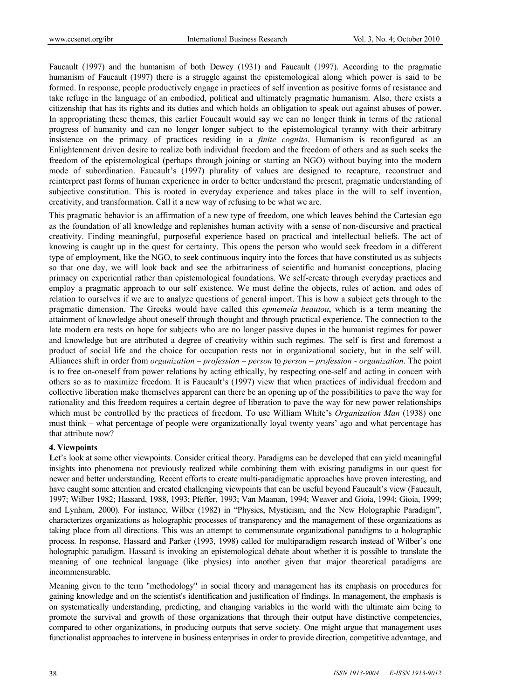Faucault (1997) and the humanism of both Dewey (1931) and Faucault (1997). According to the pragmatic humanism of Faucault (1997) there is a struggle against the epistemological along which power is said to be formed. In response, people productively engage in practices of self invention as positive forms of resistance and take refuge in the language of an embodied, political and ultimately pragmatic humanism. Also, there exists a citizenship that has its rights and its duties and which holds an obligation to speak out against abuses of power. In appropriating these themes, this earlier Foucault would say we can no longer think in terms of the rational progress of humanity and can no longer longer subject to the epistemological tyranny with their arbitrary insistence on the primacy of practices residing in a *finite cognito*. Humanism is reconfigured as an Enlightenment driven desire to realize both individual freedom and the freedom of others and as such seeks the freedom of the epistemological (perhaps through joining or starting an NGO) without buying into the modern mode of subordination. Faucault's (1997) plurality of values are designed to recapture, reconstruct and reinterpret past forms of human experience in order to better understand the present, pragmatic understanding of subjective constitution. This is rooted in everyday experience and takes place in the will to self invention, creativity, and transformation. Call it a new way of refusing to be what we are.

This pragmatic behavior is an affirmation of a new type of freedom, one which leaves behind the Cartesian ego as the foundation of all knowledge and replenishes human activity with a sense of non-discursive and practical creativity. Finding meaningful, purposeful experience based on practical and intellectual beliefs. The act of knowing is caught up in the quest for certainty. This opens the person who would seek freedom in a different type of employment, like the NGO, to seek continuous inquiry into the forces that have constituted us as subjects so that one day, we will look back and see the arbitrariness of scientific and humanist conceptions, placing primacy on experiential rather than epistemological foundations. We self-create through everyday practices and employ a pragmatic approach to our self existence. We must define the objects, rules of action, and odes of relation to ourselves if we are to analyze questions of general import. This is how a subject gets through to the pragmatic dimension. The Greeks would have called this *epmemeia heautou*, which is a term meaning the attainment of knowledge about oneself through thought and through practical experience. The connection to the late modern era rests on hope for subjects who are no longer passive dupes in the humanist regimes for power and knowledge but are attributed a degree of creativity within such regimes. The self is first and foremost a product of social life and the choice for occupation rests not in organizational society, but in the self will. Alliances shift in order from *organization – profession – person* to *person – profession - organization*. The point is to free on-oneself from power relations by acting ethically, by respecting one-self and acting in concert with others so as to maximize freedom. It is Faucault's (1997) view that when practices of individual freedom and collective liberation make themselves apparent can there be an opening up of the possibilities to pave the way for rationality and this freedom requires a certain degree of liberation to pave the way for new power relationships which must be controlled by the practices of freedom. To use William White's *Organization Man* (1938) one must think – what percentage of people were organizationally loyal twenty years' ago and what percentage has that attribute now?

### **4. Viewpoints**

Let's look at some other viewpoints. Consider critical theory. Paradigms can be developed that can yield meaningful insights into phenomena not previously realized while combining them with existing paradigms in our quest for newer and better understanding. Recent efforts to create multi-paradigmatic approaches have proven interesting, and have caught some attention and created challenging viewpoints that can be useful beyond Faucault's view (Faucault, 1997; Wilber 1982; Hassard, 1988, 1993; Pfeffer, 1993; Van Maanan, 1994; Weaver and Gioia, 1994; Gioia, 1999; and Lynham, 2000). For instance, Wilber (1982) in "Physics, Mysticism, and the New Holographic Paradigm", characterizes organizations as holographic processes of transparency and the management of these organizations as taking place from all directions. This was an attempt to commensurate organizational paradigms to a holographic process. In response, Hassard and Parker (1993, 1998) called for multiparadigm research instead of Wilber's one holographic paradigm. Hassard is invoking an epistemological debate about whether it is possible to translate the meaning of one technical language (like physics) into another given that major theoretical paradigms are incommensurable.

Meaning given to the term "methodology" in social theory and management has its emphasis on procedures for gaining knowledge and on the scientist's identification and justification of findings. In management, the emphasis is on systematically understanding, predicting, and changing variables in the world with the ultimate aim being to promote the survival and growth of those organizations that through their output have distinctive competencies, compared to other organizations, in producing outputs that serve society. One might argue that management uses functionalist approaches to intervene in business enterprises in order to provide direction, competitive advantage, and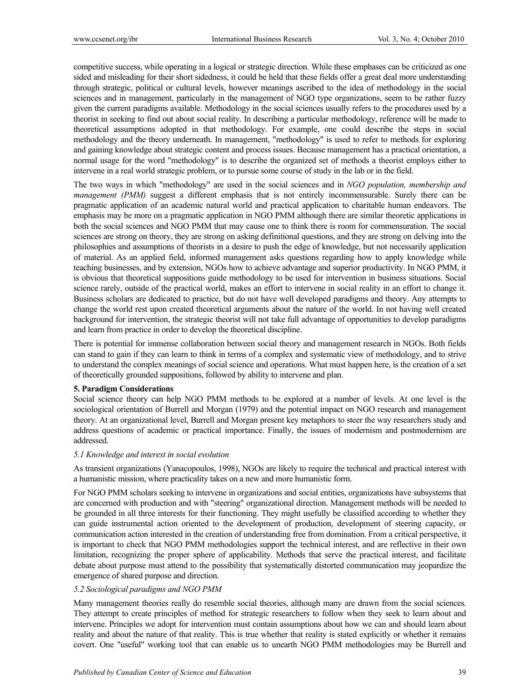competitive success, while operating in a logical or strategic direction. While these emphases can be criticized as one sided and misleading for their short sidedness, it could be held that these fields offer a great deal more understanding through strategic, political or cultural levels, however meanings ascribed to the idea of methodology in the social sciences and in management, particularly in the management of NGO type organizations, seem to be rather fuzzy given the current paradigms available. Methodology in the social sciences usually refers to the procedures used by a theorist in seeking to find out about social reality. In describing a particular methodology, reference will be made to theoretical assumptions adopted in that methodology. For example, one could describe the steps in social methodology and the theory underneath. In management, "methodology" is used to refer to methods for exploring and gaining knowledge about strategic content and process issues. Because management has a practical orientation, a normal usage for the word "methodology" is to describe the organized set of methods a theorist employs either to intervene in a real world strategic problem, or to pursue some course of study in the lab or in the field.

The two ways in which "methodology" are used in the social sciences and in *NGO population, membership and management (PMM)* suggest a different emphasis that is not entirely incommensurable. Surely there can be pragmatic application of an academic natural world and practical application to charitable human endeavors. The emphasis may be more on a pragmatic application in NGO PMM although there are similar theoretic applications in both the social sciences and NGO PMM that may cause one to think there is room for commensuration. The social sciences are strong on theory, they are strong on asking definitional questions, and they are strong on delving into the philosophies and assumptions of theorists in a desire to push the edge of knowledge, but not necessarily application of material. As an applied field, informed management asks questions regarding how to apply knowledge while teaching businesses, and by extension, NGOs how to achieve advantage and superior productivity. In NGO PMM, it is obvious that theoretical suppositions guide methodology to be used for intervention in business situations. Social science rarely, outside of the practical world, makes an effort to intervene in social reality in an effort to change it. Business scholars are dedicated to practice, but do not have well developed paradigms and theory. Any attempts to change the world rest upon created theoretical arguments about the nature of the world. In not having well created background for intervention, the strategic theorist will not take full advantage of opportunities to develop paradigms and learn from practice in order to develop the theoretical discipline.

There is potential for immense collaboration between social theory and management research in NGOs. Both fields can stand to gain if they can learn to think in terms of a complex and systematic view of methodology, and to strive to understand the complex meanings of social science and operations. What must happen here, is the creation of a set of theoretically grounded suppositions, followed by ability to intervene and plan.

## **5. Paradigm Considerations**

Social science theory can help NGO PMM methods to be explored at a number of levels. At one level is the sociological orientation of Burrell and Morgan (1979) and the potential impact on NGO research and management theory. At an organizational level, Burrell and Morgan present key metaphors to steer the way researchers study and address questions of academic or practical importance. Finally, the issues of modernism and postmodernism are addressed.

## *5.1 Knowledge and interest in social evolution*

As transient organizations (Yanacopoulos, 1998), NGOs are likely to require the technical and practical interest with a humanistic mission, where practicality takes on a new and more humanistic form.

For NGO PMM scholars seeking to intervene in organizations and social entities, organizations have subsystems that are concerned with production and with "steering" organizational direction. Management methods will be needed to be grounded in all three interests for their functioning. They might usefully be classified according to whether they can guide instrumental action oriented to the development of production, development of steering capacity, or communication action interested in the creation of understanding free from domination. From a critical perspective, it is important to check that NGO PMM methodologies support the technical interest, and are reflective in their own limitation, recognizing the proper sphere of applicability. Methods that serve the practical interest, and facilitate debate about purpose must attend to the possibility that systematically distorted communication may jeopardize the emergence of shared purpose and direction.

## *5.2 Sociological paradigms and NGO PMM*

Many management theories really do resemble social theories, although many are drawn from the social sciences. They attempt to create principles of method for strategic researchers to follow when they seek to learn about and intervene. Principles we adopt for intervention must contain assumptions about how we can and should learn about reality and about the nature of that reality. This is true whether that reality is stated explicitly or whether it remains covert. One "useful" working tool that can enable us to unearth NGO PMM methodologies may be Burrell and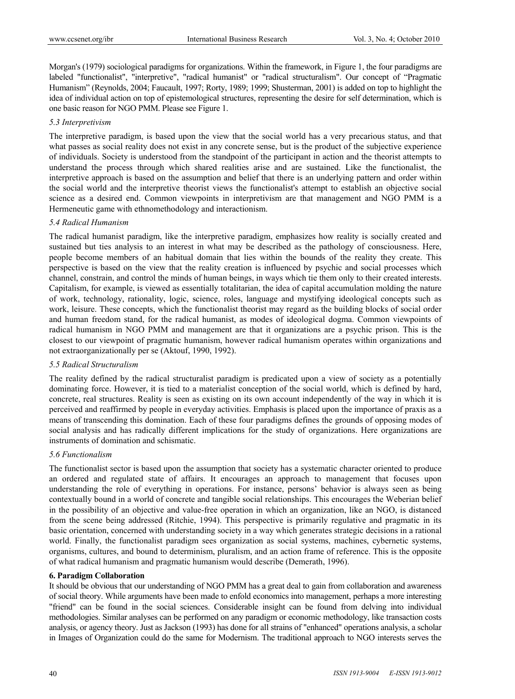Morgan's (1979) sociological paradigms for organizations. Within the framework, in Figure 1, the four paradigms are labeled "functionalist", "interpretive", "radical humanist" or "radical structuralism". Our concept of "Pragmatic Humanism" (Reynolds, 2004; Faucault, 1997; Rorty, 1989; 1999; Shusterman, 2001) is added on top to highlight the idea of individual action on top of epistemological structures, representing the desire for self determination, which is one basic reason for NGO PMM. Please see Figure 1.

## *5.3 Interpretivism*

The interpretive paradigm, is based upon the view that the social world has a very precarious status, and that what passes as social reality does not exist in any concrete sense, but is the product of the subjective experience of individuals. Society is understood from the standpoint of the participant in action and the theorist attempts to understand the process through which shared realities arise and are sustained. Like the functionalist, the interpretive approach is based on the assumption and belief that there is an underlying pattern and order within the social world and the interpretive theorist views the functionalist's attempt to establish an objective social science as a desired end. Common viewpoints in interpretivism are that management and NGO PMM is a Hermeneutic game with ethnomethodology and interactionism.

## *5.4 Radical Humanism*

The radical humanist paradigm, like the interpretive paradigm, emphasizes how reality is socially created and sustained but ties analysis to an interest in what may be described as the pathology of consciousness. Here, people become members of an habitual domain that lies within the bounds of the reality they create. This perspective is based on the view that the reality creation is influenced by psychic and social processes which channel, constrain, and control the minds of human beings, in ways which tie them only to their created interests. Capitalism, for example, is viewed as essentially totalitarian, the idea of capital accumulation molding the nature of work, technology, rationality, logic, science, roles, language and mystifying ideological concepts such as work, leisure. These concepts, which the functionalist theorist may regard as the building blocks of social order and human freedom stand, for the radical humanist, as modes of ideological dogma. Common viewpoints of radical humanism in NGO PMM and management are that it organizations are a psychic prison. This is the closest to our viewpoint of pragmatic humanism, however radical humanism operates within organizations and not extraorganizationally per se (Aktouf, 1990, 1992).

## *5.5 Radical Structuralism*

The reality defined by the radical structuralist paradigm is predicated upon a view of society as a potentially dominating force. However, it is tied to a materialist conception of the social world, which is defined by hard, concrete, real structures. Reality is seen as existing on its own account independently of the way in which it is perceived and reaffirmed by people in everyday activities. Emphasis is placed upon the importance of praxis as a means of transcending this domination. Each of these four paradigms defines the grounds of opposing modes of social analysis and has radically different implications for the study of organizations. Here organizations are instruments of domination and schismatic.

### *5.6 Functionalism*

The functionalist sector is based upon the assumption that society has a systematic character oriented to produce an ordered and regulated state of affairs. It encourages an approach to management that focuses upon understanding the role of everything in operations. For instance, persons' behavior is always seen as being contextually bound in a world of concrete and tangible social relationships. This encourages the Weberian belief in the possibility of an objective and value-free operation in which an organization, like an NGO, is distanced from the scene being addressed (Ritchie, 1994). This perspective is primarily regulative and pragmatic in its basic orientation, concerned with understanding society in a way which generates strategic decisions in a rational world. Finally, the functionalist paradigm sees organization as social systems, machines, cybernetic systems, organisms, cultures, and bound to determinism, pluralism, and an action frame of reference. This is the opposite of what radical humanism and pragmatic humanism would describe (Demerath, 1996).

## **6. Paradigm Collaboration**

It should be obvious that our understanding of NGO PMM has a great deal to gain from collaboration and awareness of social theory. While arguments have been made to enfold economics into management, perhaps a more interesting "friend" can be found in the social sciences. Considerable insight can be found from delving into individual methodologies. Similar analyses can be performed on any paradigm or economic methodology, like transaction costs analysis, or agency theory. Just as Jackson (1993) has done for all strains of "enhanced" operations analysis, a scholar in Images of Organization could do the same for Modernism. The traditional approach to NGO interests serves the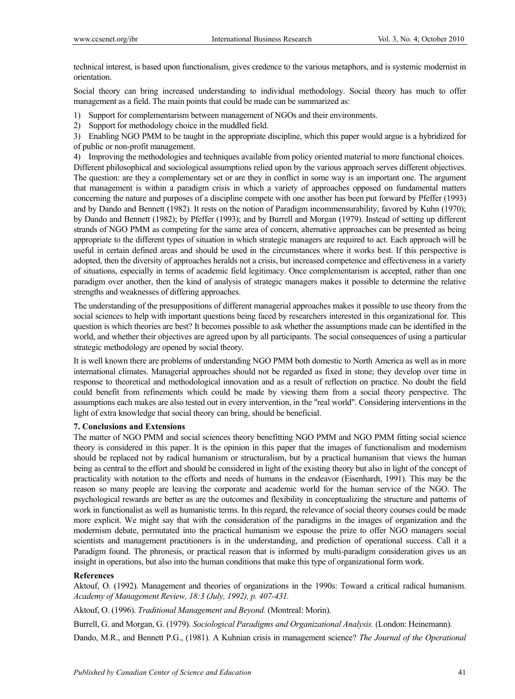technical interest, is based upon functionalism, gives credence to the various metaphors, and is systemic modernist in orientation.

Social theory can bring increased understanding to individual methodology. Social theory has much to offer management as a field. The main points that could be made can be summarized as:

- 1) Support for complementarism between management of NGOs and their environments.
- 2) Support for methodology choice in the muddled field.

3) Enabling NGO PMM to be taught in the appropriate discipline, which this paper would argue is a hybridized for of public or non-profit management.

4) Improving the methodologies and techniques available from policy oriented material to more functional choices. Different philosophical and sociological assumptions relied upon by the various approach serves different objectives. The question: are they a complementary set or are they in conflict in some way is an important one. The argument that management is within a paradigm crisis in which a variety of approaches opposed on fundamental matters concerning the nature and purposes of a discipline compete with one another has been put forward by Pfeffer (1993) and by Dando and Bennett (1982). It rests on the notion of Paradigm incommensurability, favored by Kuhn (1970); by Dando and Bennett (1982); by Pfeffer (1993); and by Burrell and Morgan (1979). Instead of setting up different strands of NGO PMM as competing for the same area of concern, alternative approaches can be presented as being appropriate to the different types of situation in which strategic managers are required to act. Each approach will be useful in certain defined areas and should be used in the circumstances where it works best. If this perspective is adopted, then the diversity of approaches heralds not a crisis, but increased competence and effectiveness in a variety of situations, especially in terms of academic field legitimacy. Once complementarism is accepted, rather than one paradigm over another, then the kind of analysis of strategic managers makes it possible to determine the relative strengths and weaknesses of differing approaches.

The understanding of the presuppositions of different managerial approaches makes it possible to use theory from the social sciences to help with important questions being faced by researchers interested in this organizational for. This question is which theories are best? It becomes possible to ask whether the assumptions made can be identified in the world, and whether their objectives are agreed upon by all participants. The social consequences of using a particular strategic methodology are opened by social theory.

It is well known there are problems of understanding NGO PMM both domestic to North America as well as in more international climates. Managerial approaches should not be regarded as fixed in stone; they develop over time in response to theoretical and methodological innovation and as a result of reflection on practice. No doubt the field could benefit from refinements which could be made by viewing them from a social theory perspective. The assumptions each makes are also tested out in every intervention, in the "real world". Considering interventions in the light of extra knowledge that social theory can bring, should be beneficial.

## **7. Conclusions and Extensions**

The matter of NGO PMM and social sciences theory benefitting NGO PMM and NGO PMM fitting social science theory is considered in this paper. It is the opinion in this paper that the images of functionalism and modernism should be replaced not by radical humanism or structuralism, but by a practical humanism that views the human being as central to the effort and should be considered in light of the existing theory but also in light of the concept of practicality with notation to the efforts and needs of humans in the endeavor (Eisenhardt, 1991). This may be the reason so many people are leaving the corporate and academic world for the human service of the NGO. The psychological rewards are better as are the outcomes and flexibility in conceptualizing the structure and patterns of work in functionalist as well as humanistic terms. In this regard, the relevance of social theory courses could be made more explicit. We might say that with the consideration of the paradigms in the images of organization and the modernism debate, permutated into the practical humanism we espouse the prize to offer NGO managers social scientists and management practitioners is in the understanding, and prediction of operational success. Call it a Paradigm found. The phronesis, or practical reason that is informed by multi-paradigm consideration gives us an insight in operations, but also into the human conditions that make this type of organizational form work.

## **References**

Aktouf, O. (1992). Management and theories of organizations in the 1990s: Toward a critical radical humanism. *Academy of Management Review, 18:3 (July, 1992), p. 407-431.* 

Aktouf, O. (1996). *Traditional Management and Beyond.* (Montreal: Morin).

Burrell, G. and Morgan, G. (1979). *Sociological Paradigms and Organizational Analysis.* (London: Heinemann).

Dando, M.R., and Bennett P.G., (1981). A Kuhnian crisis in management science? *The Journal of the Operational*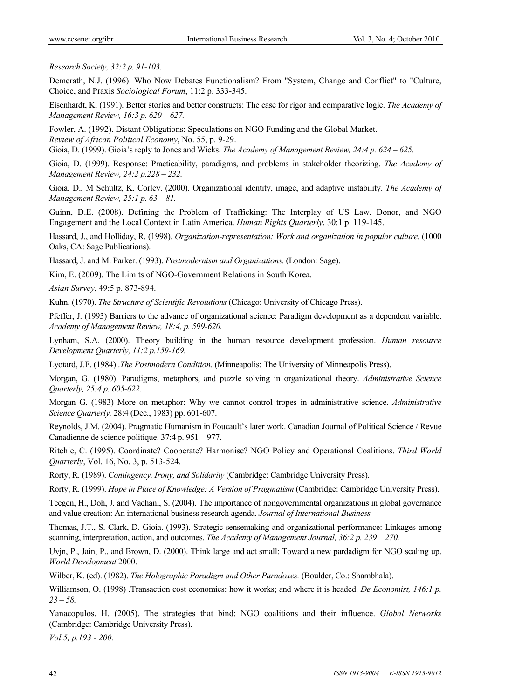*Research Society, 32:2 p. 91-103.* 

Demerath, N.J. (1996). Who Now Debates Functionalism? From "System, Change and Conflict" to "Culture, Choice, and Praxis *Sociological Forum*, 11:2 p. 333-345.

Eisenhardt, K. (1991). Better stories and better constructs: The case for rigor and comparative logic. *The Academy of Management Review, 16:3 p. 620 – 627.* 

Fowler, A. (1992). Distant Obligations: Speculations on NGO Funding and the Global Market. *Review of African Political Economy*, No. 55, p. 9-29.

Gioia, D. (1999). Gioia's reply to Jones and Wicks. *The Academy of Management Review, 24:4 p. 624 – 625.* 

Gioia, D. (1999). Response: Practicability, paradigms, and problems in stakeholder theorizing. *The Academy of Management Review, 24:2 p.228 – 232.* 

Gioia, D., M Schultz, K. Corley. (2000). Organizational identity, image, and adaptive instability. *The Academy of Management Review, 25:1 p. 63 – 81.* 

Guinn, D.E. (2008). Defining the Problem of Trafficking: The Interplay of US Law, Donor, and NGO Engagement and the Local Context in Latin America. *Human Rights Quarterly*, 30:1 p. 119-145.

Hassard, J., and Holliday, R. (1998). *Organization-representation: Work and organization in popular culture.* (1000 Oaks, CA: Sage Publications).

Hassard, J. and M. Parker. (1993). *Postmodernism and Organizations.* (London: Sage).

Kim, E. (2009). The Limits of NGO-Government Relations in South Korea.

*Asian Survey*, 49:5 p. 873-894.

Kuhn. (1970). *The Structure of Scientific Revolutions* (Chicago: University of Chicago Press).

Pfeffer, J. (1993) Barriers to the advance of organizational science: Paradigm development as a dependent variable. *Academy of Management Review, 18:4, p. 599-620.* 

Lynham, S.A. (2000). Theory building in the human resource development profession. *Human resource Development Quarterly, 11:2 p.159-169.* 

Lyotard, J.F. (1984) .*The Postmodern Condition.* (Minneapolis: The University of Minneapolis Press).

Morgan, G. (1980). Paradigms, metaphors, and puzzle solving in organizational theory. *Administrative Science Quarterly, 25:4 p. 605-622.* 

Morgan G. (1983) More on metaphor: Why we cannot control tropes in administrative science. *Administrative Science Quarterly,* 28:4 (Dec., 1983) pp. 601-607.

Reynolds, J.M. (2004). Pragmatic Humanism in Foucault's later work. Canadian Journal of Political Science / Revue Canadienne de science politique. 37:4 p. 951 – 977.

Ritchie, C. (1995). Coordinate? Cooperate? Harmonise? NGO Policy and Operational Coalitions. *Third World Quarterly*, Vol. 16, No. 3, p. 513-524.

Rorty, R. (1989). *Contingency, Irony, and Solidarity* (Cambridge: Cambridge University Press).

Rorty, R. (1999). *Hope in Place of Knowledge: A Version of Pragmatism* (Cambridge: Cambridge University Press).

Teegen, H., Doh, J. and Vachani, S. (2004). The importance of nongovernmental organizations in global governance and value creation: An international business research agenda. *Journal of International Business* 

Thomas, J.T., S. Clark, D. Gioia. (1993). Strategic sensemaking and organizational performance: Linkages among scanning, interpretation, action, and outcomes. *The Academy of Management Journal, 36:2 p. 239 – 270.* 

Uvjn, P., Jain, P., and Brown, D. (2000). Think large and act small: Toward a new pardadigm for NGO scaling up. *World Development* 2000.

Wilber, K. (ed). (1982). *The Holographic Paradigm and Other Paradoxes.* (Boulder, Co.: Shambhala).

Williamson, O. (1998) .Transaction cost economics: how it works; and where it is headed. *De Economist*, 146:1 p. *23 – 58.* 

Yanacopulos, H. (2005). The strategies that bind: NGO coalitions and their influence. *Global Networks*  (Cambridge: Cambridge University Press).

*Vol 5, p.193 - 200.*